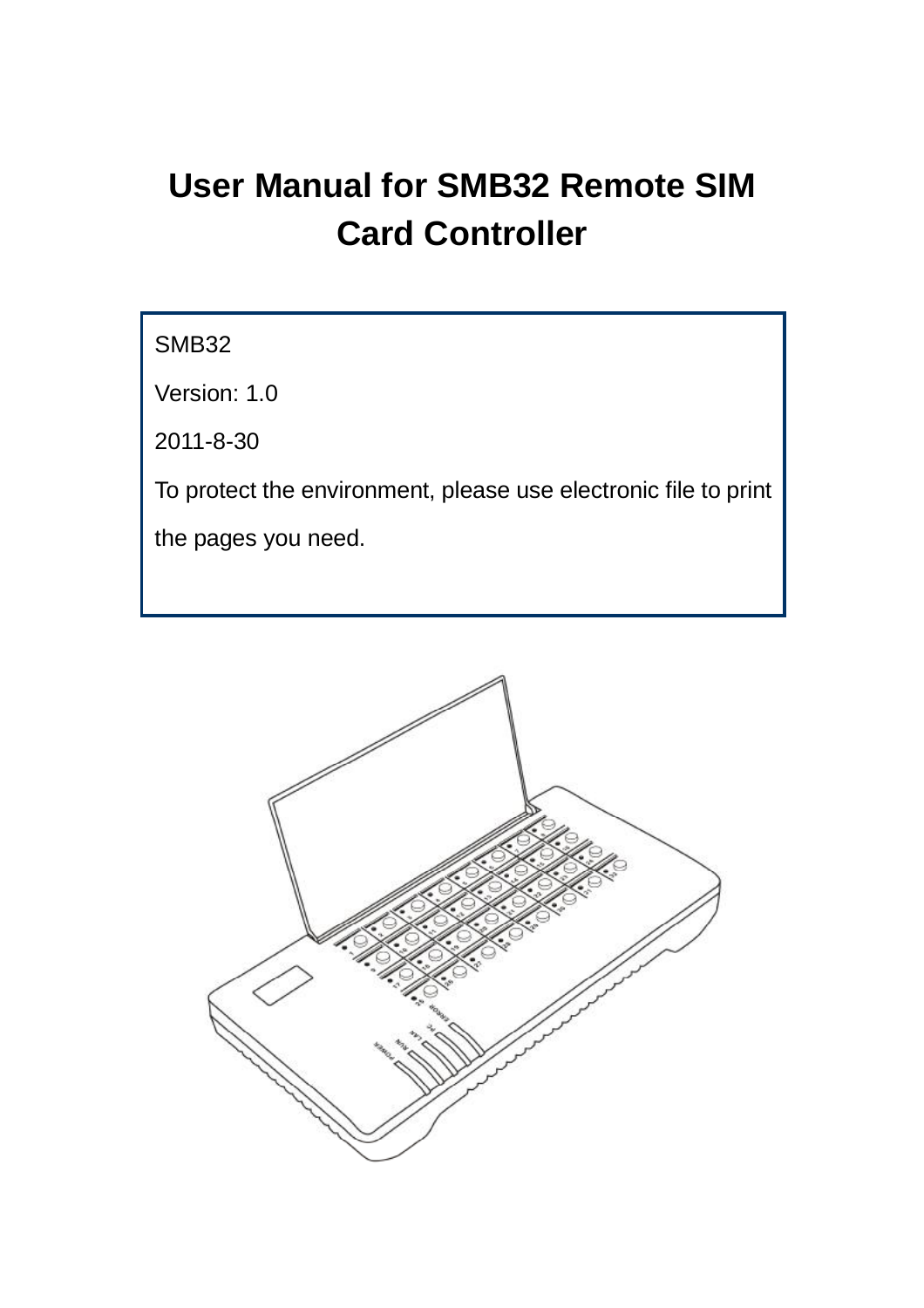# **User Manual for SMB32 Remote SIM Card Controller**

SMB32

Version: 1.0

2011-8-30

To protect the environment, please use electronic file to print

the pages you need.

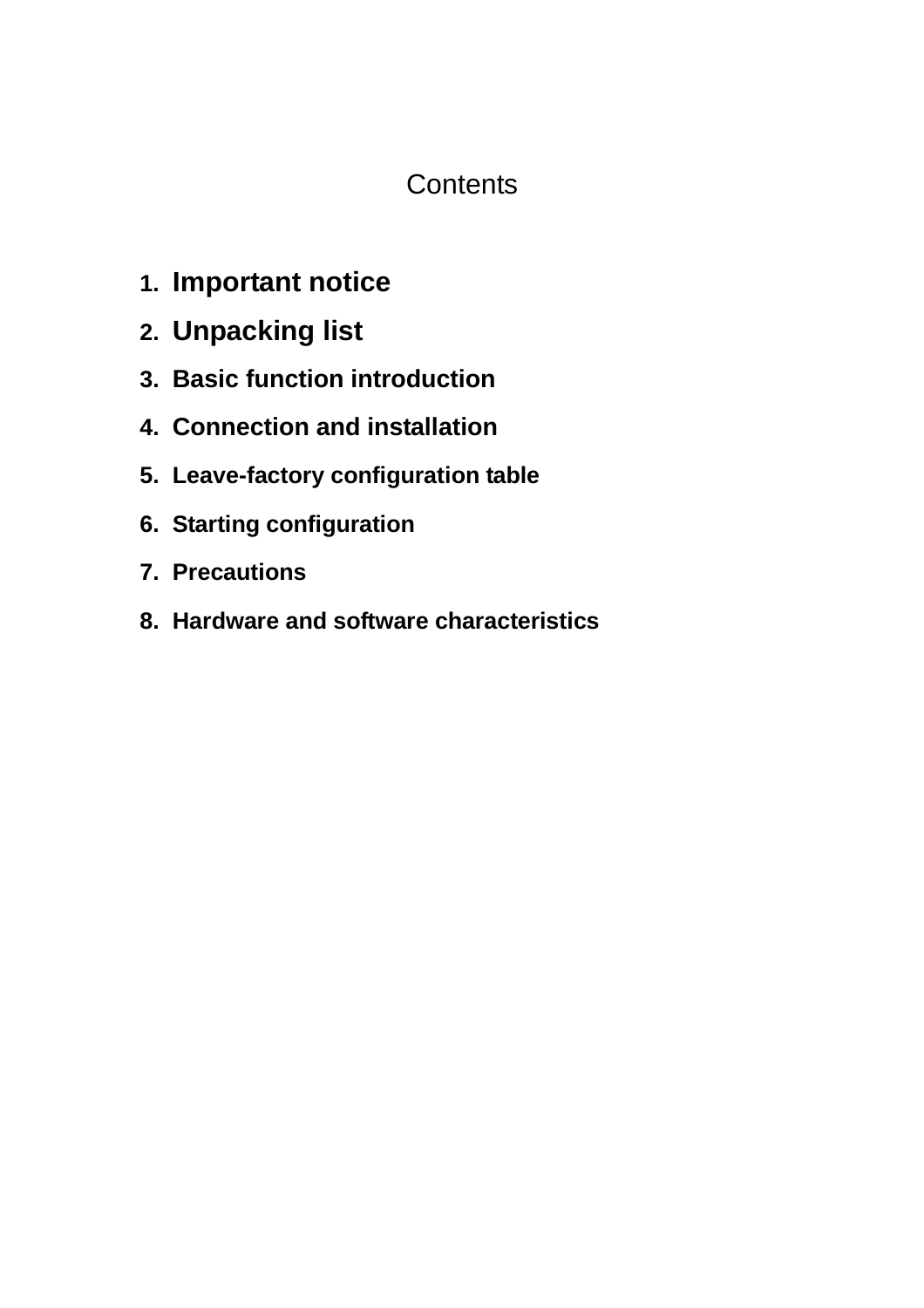# **Contents**

- **1. Important notice**
- **2. Unpacking list**
- **3. Basic function introduction**
- **4. Connection and installation**
- **5. Leave-factory configuration table**
- **6. Starting configuration**
- **7. Precautions**
- **8. Hardware and software characteristics**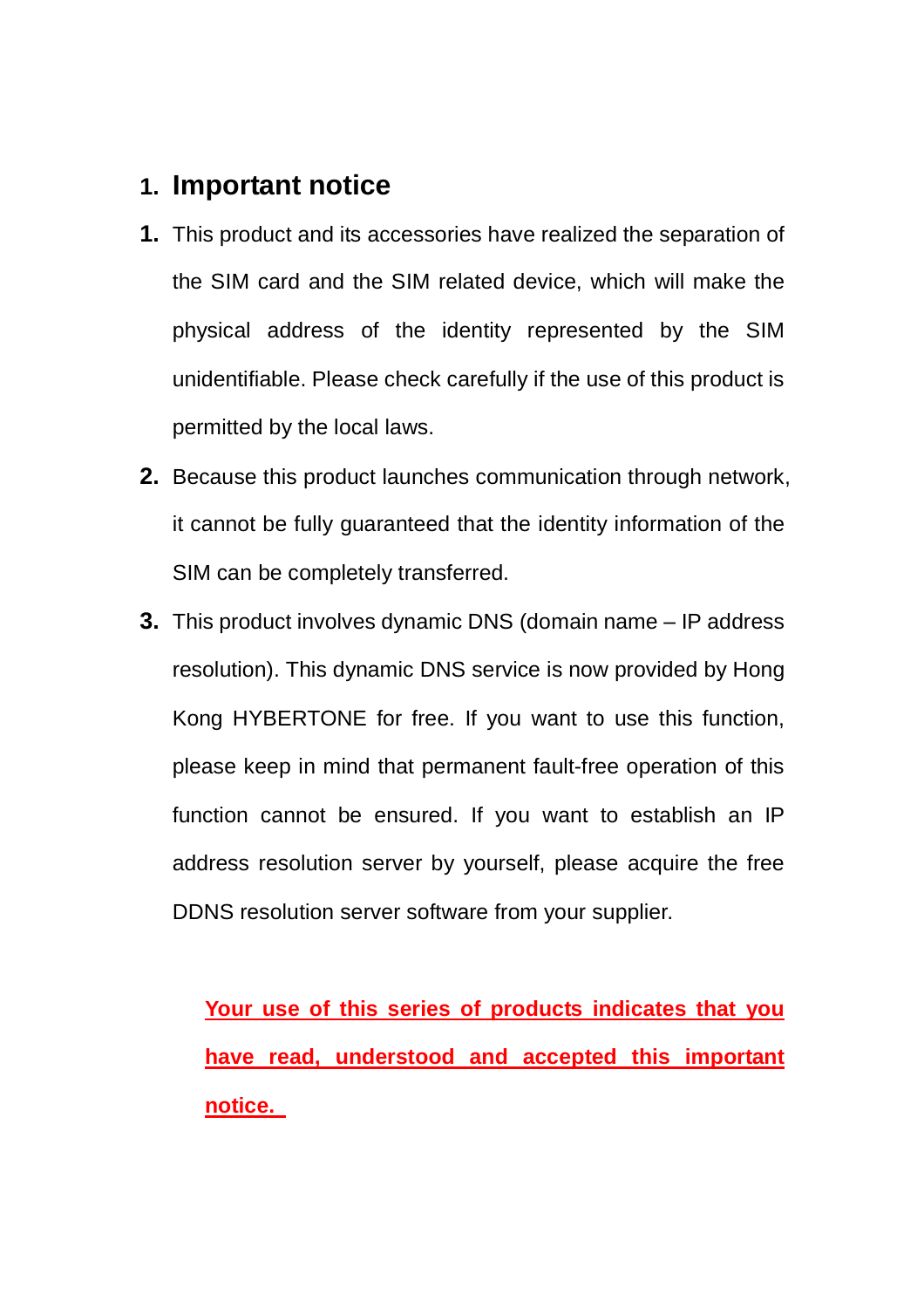# **1. Important notice**

- **1.** This product and its accessories have realized the separation of the SIM card and the SIM related device, which will make the physical address of the identity represented by the SIM unidentifiable. Please check carefully if the use of this product is permitted by the local laws.
- **2.** Because this product launches communication through network, it cannot be fully guaranteed that the identity information of the SIM can be completely transferred.
- **3.** This product involves dynamic DNS (domain name IP address resolution). This dynamic DNS service is now provided by Hong Kong HYBERTONE for free. If you want to use this function, please keep in mind that permanent fault-free operation of this function cannot be ensured. If you want to establish an IP address resolution server by yourself, please acquire the free DDNS resolution server software from your supplier.

**Your use of this series of products indicates that you have read, understood and accepted this important notice.**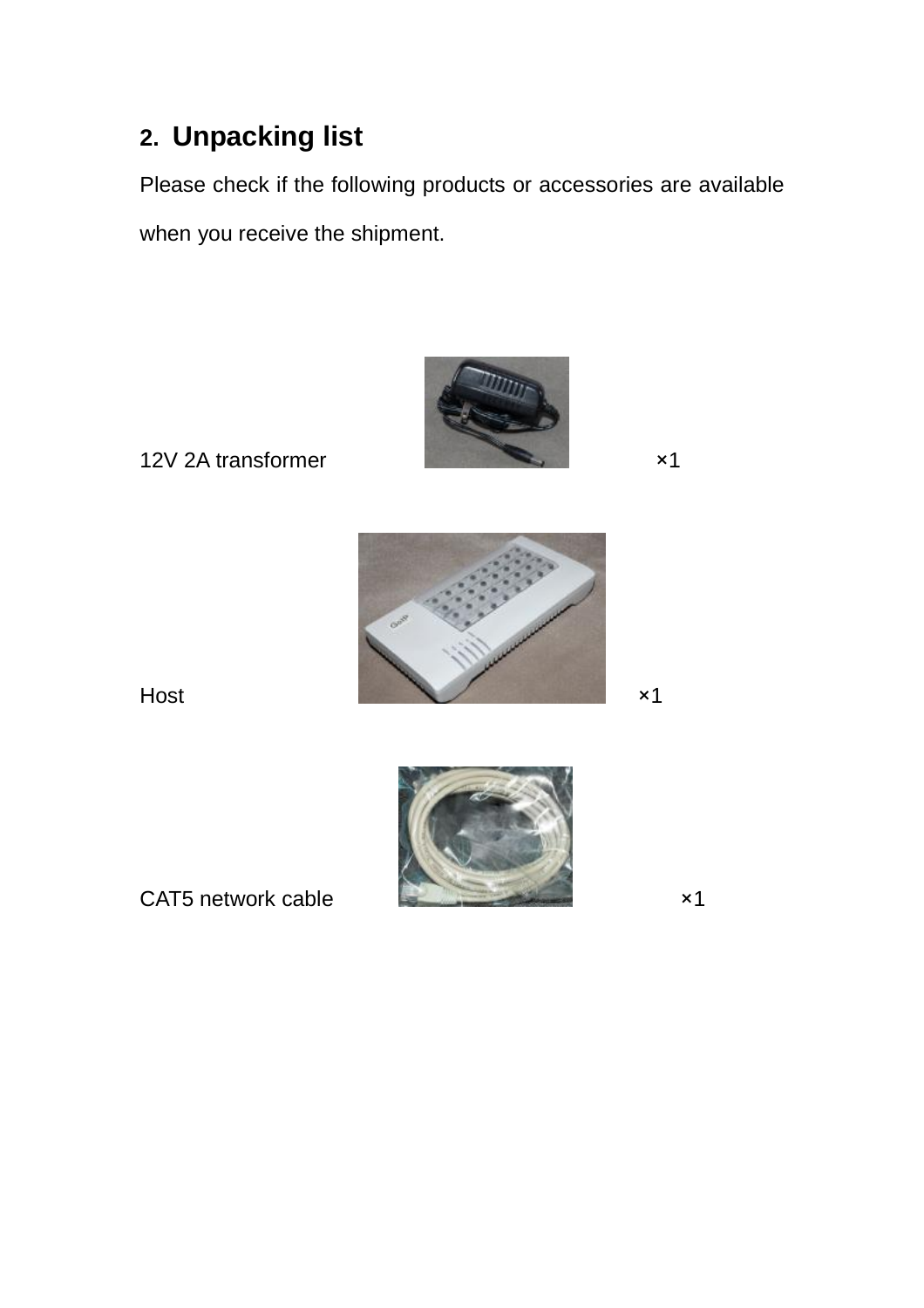# **2. Unpacking list**

Please check if the following products or accessories are available when you receive the shipment.



12V 2A transformer x1





CAT5 network cable  $\times 1$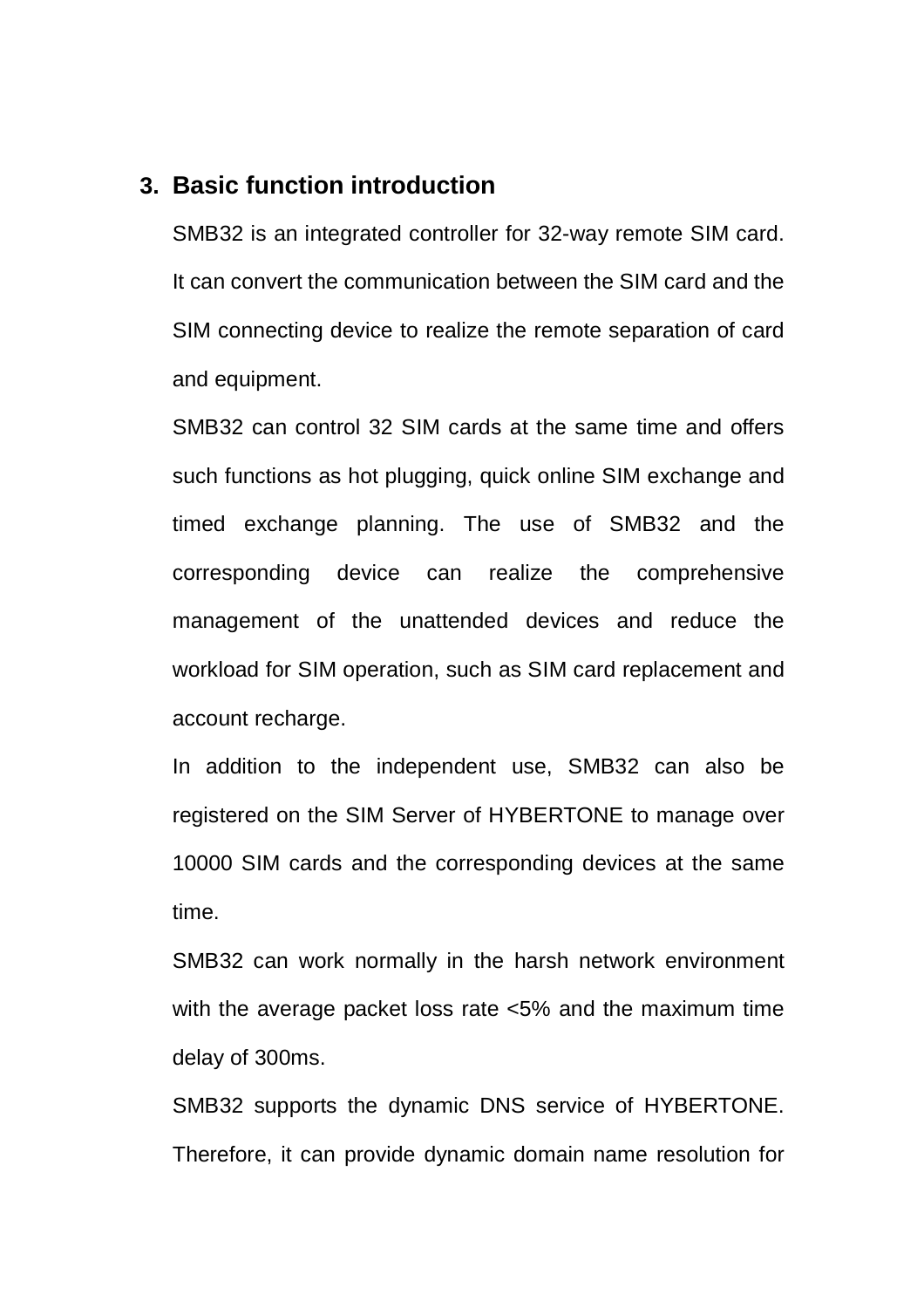#### **3. Basic function introduction**

SMB32 is an integrated controller for 32-way remote SIM card. It can convert the communication between the SIM card and the SIM connecting device to realize the remote separation of card and equipment.

SMB32 can control 32 SIM cards at the same time and offers such functions as hot plugging, quick online SIM exchange and timed exchange planning. The use of SMB32 and the corresponding device can realize the comprehensive management of the unattended devices and reduce the workload for SIM operation, such as SIM card replacement and account recharge.

In addition to the independent use, SMB32 can also be registered on the SIM Server of HYBERTONE to manage over 10000 SIM cards and the corresponding devices at the same time.

SMB32 can work normally in the harsh network environment with the average packet loss rate <5% and the maximum time delay of 300ms.

SMB32 supports the dynamic DNS service of HYBERTONE. Therefore, it can provide dynamic domain name resolution for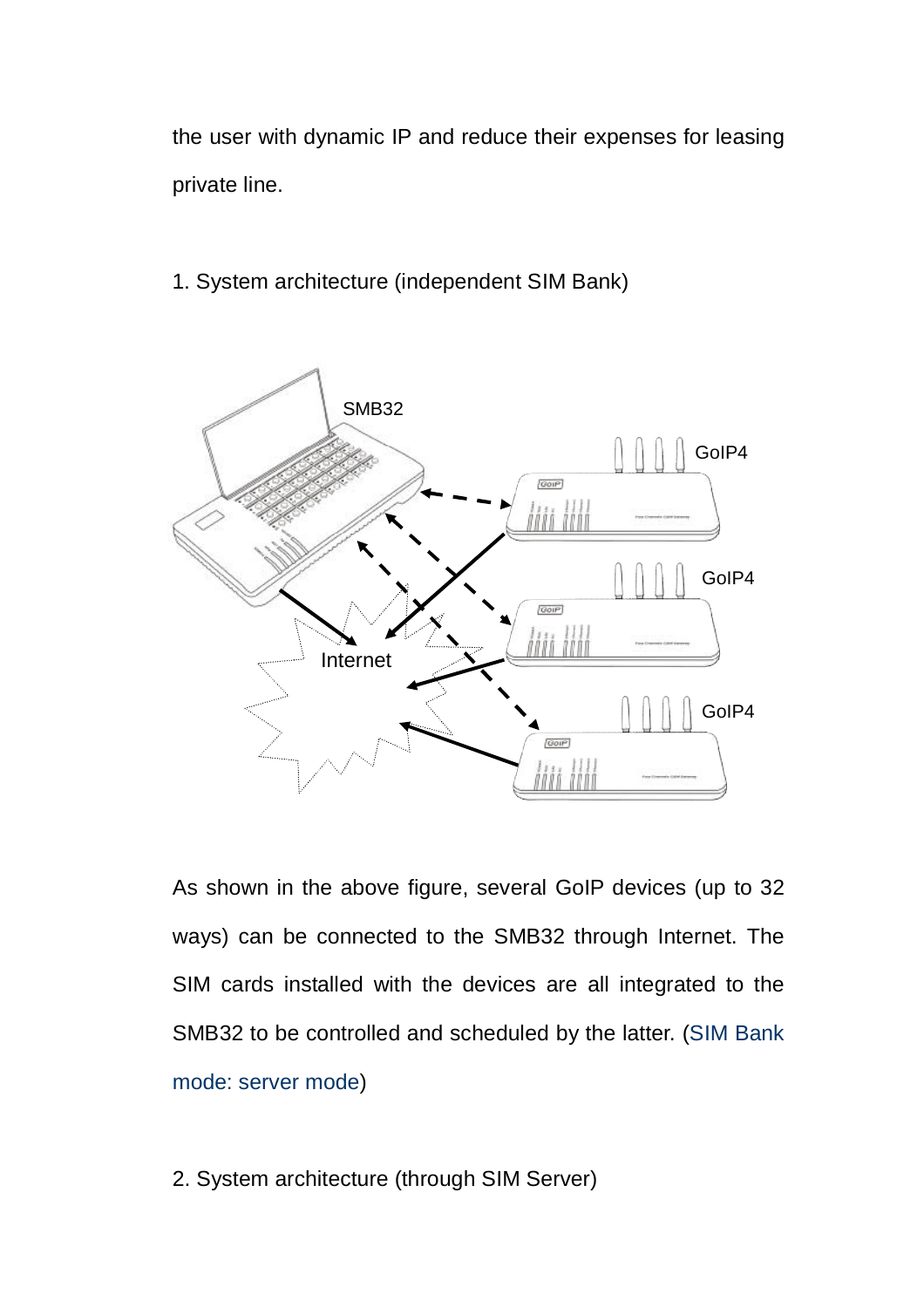the user with dynamic IP and reduce their expenses for leasing private line.

1. System architecture (independent SIM Bank)



As shown in the above figure, several GoIP devices (up to 32 ways) can be connected to the SMB32 through Internet. The SIM cards installed with the devices are all integrated to the SMB32 to be controlled and scheduled by the latter. (SIM Bank mode: server mode)

2. System architecture (through SIM Server)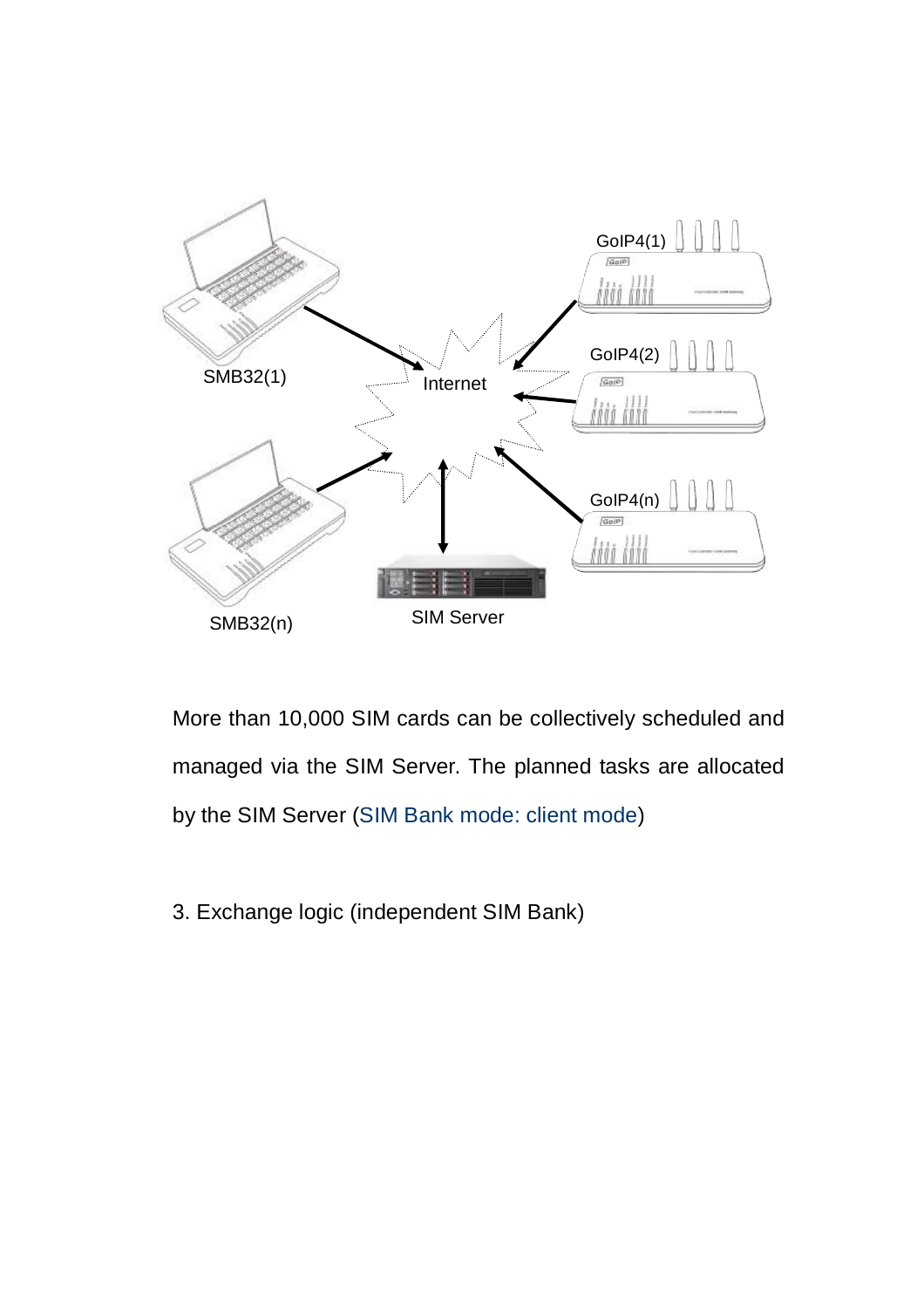

More than 10,000 SIM cards can be collectively scheduled and managed via the SIM Server. The planned tasks are allocated by the SIM Server (SIM Bank mode: client mode)

3. Exchange logic (independent SIM Bank)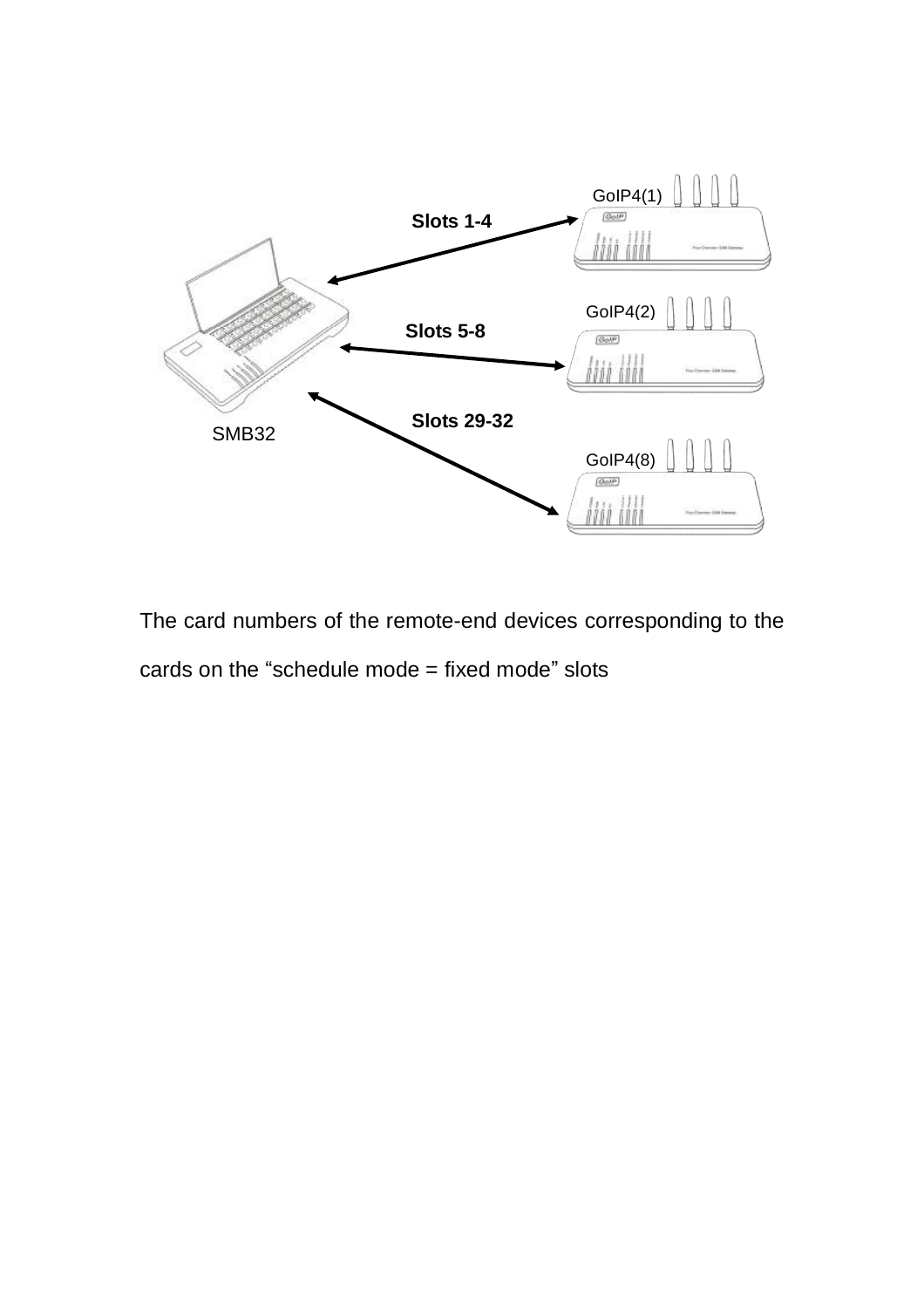

The card numbers of the remote-end devices corresponding to the cards on the "schedule mode  $=$  fixed mode" slots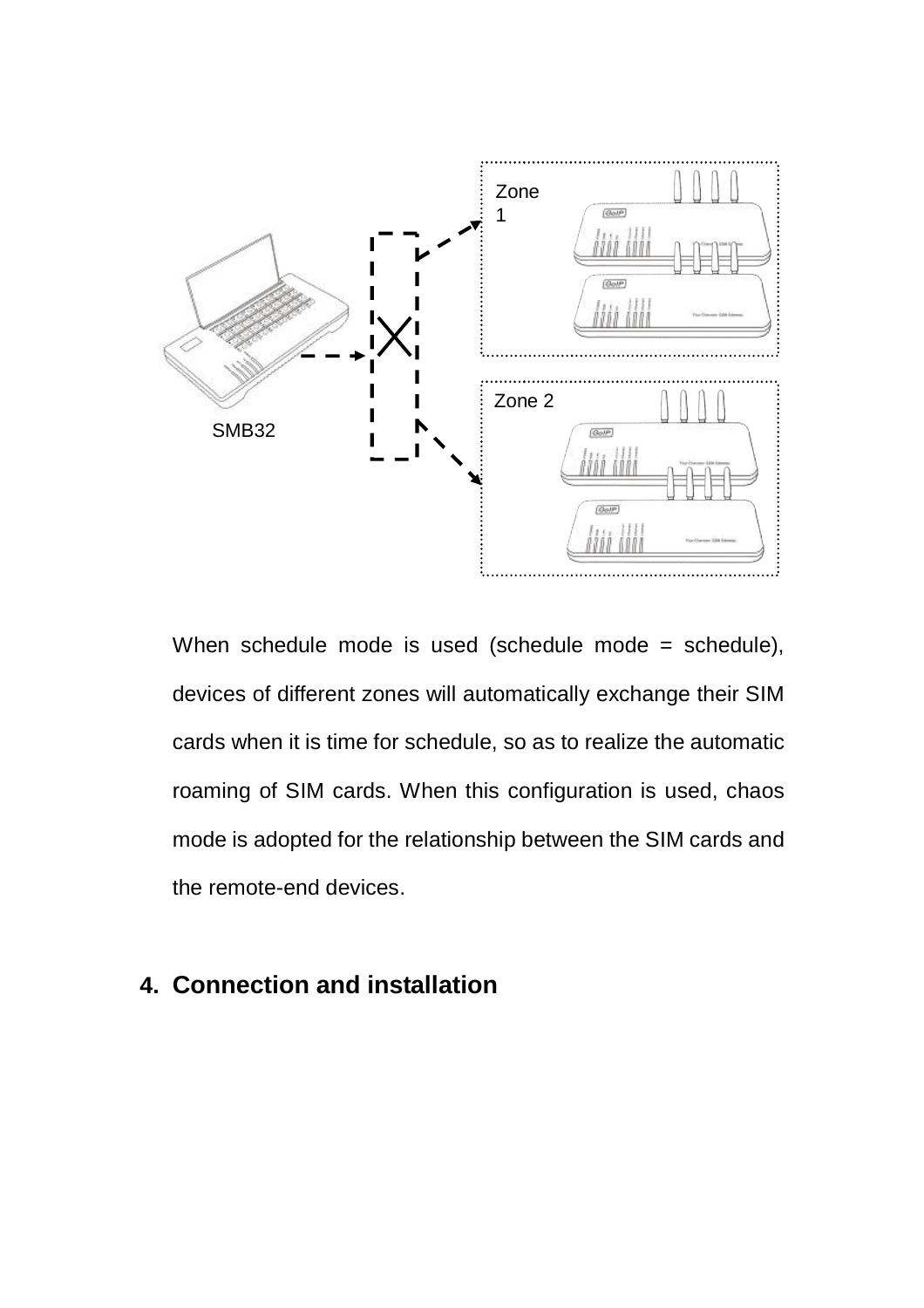

When schedule mode is used (schedule mode = schedule), devices of different zones will automatically exchange their SIM cards when it is time for schedule, so as to realize the automatic roaming of SIM cards. When this configuration is used, chaos mode is adopted for the relationship between the SIM cards and the remote-end devices.

## **4. Connection and installation**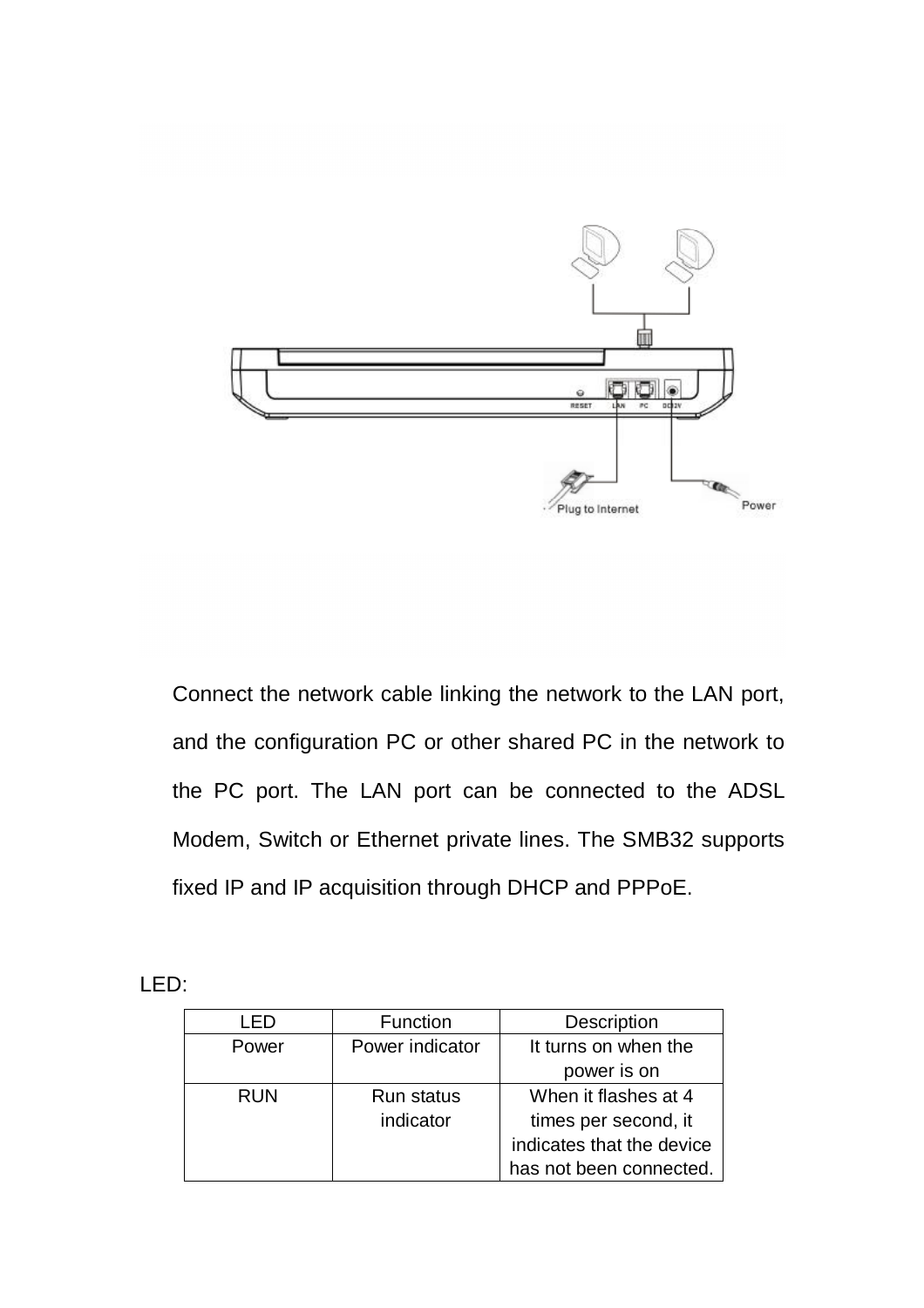

Connect the network cable linking the network to the LAN port, and the configuration PC or other shared PC in the network to the PC port. The LAN port can be connected to the ADSL Modem, Switch or Ethernet private lines. The SMB32 supports fixed IP and IP acquisition through DHCP and PPPoE.

LED:

|            | Function          | Description               |
|------------|-------------------|---------------------------|
| Power      | Power indicator   | It turns on when the      |
|            |                   | power is on               |
| <b>RUN</b> | <b>Run status</b> | When it flashes at 4      |
|            | indicator         | times per second, it      |
|            |                   | indicates that the device |
|            |                   | has not been connected.   |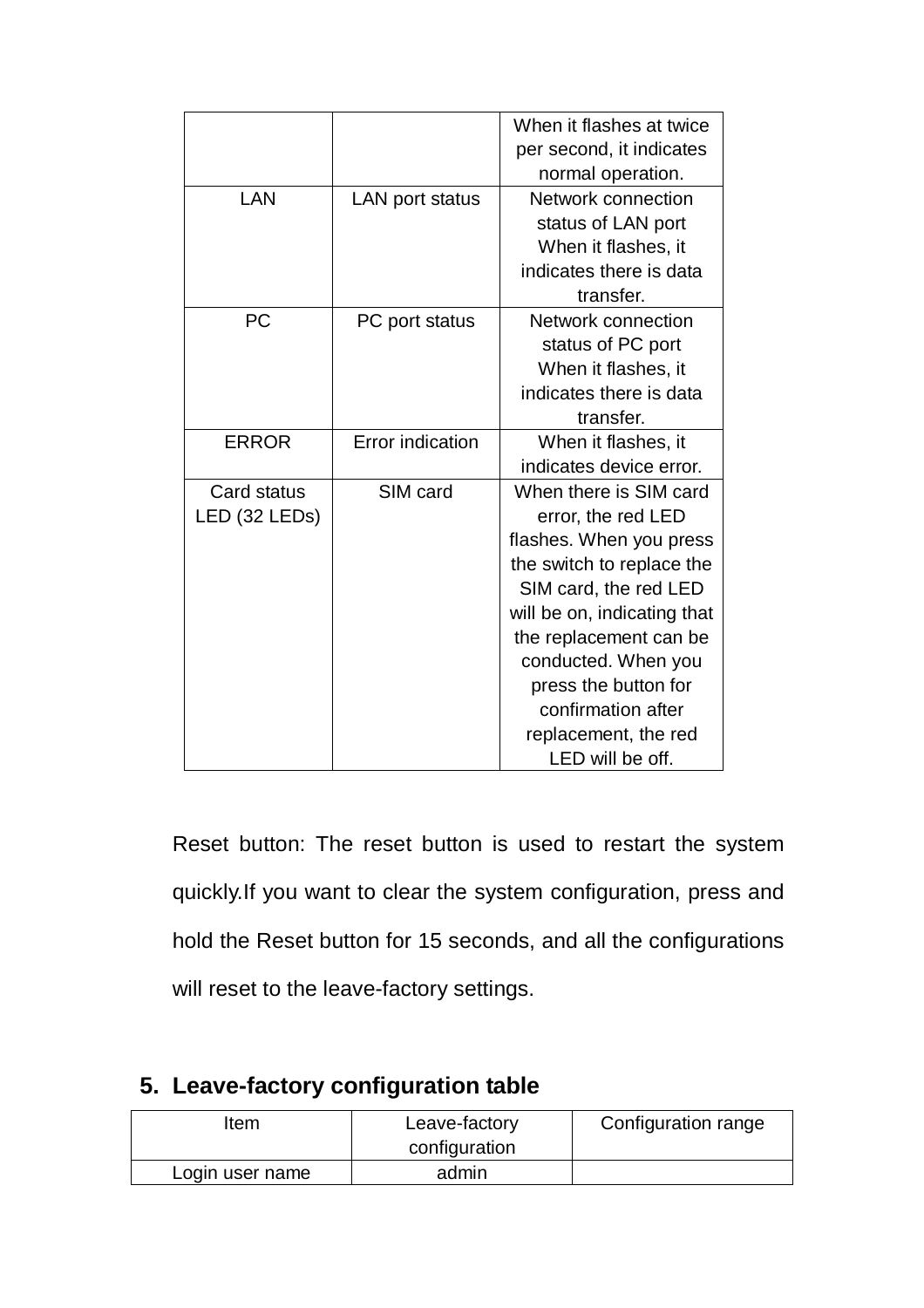|               |                         | When it flashes at twice    |
|---------------|-------------------------|-----------------------------|
|               |                         | per second, it indicates    |
|               |                         | normal operation.           |
| LAN           | LAN port status         | Network connection          |
|               |                         | status of LAN port          |
|               |                         | When it flashes, it         |
|               |                         | indicates there is data     |
|               |                         | transfer.                   |
| <b>PC</b>     | PC port status          | Network connection          |
|               |                         | status of PC port           |
|               |                         | When it flashes, it         |
|               |                         | indicates there is data     |
|               |                         | transfer.                   |
| <b>ERROR</b>  | <b>Error</b> indication | When it flashes, it         |
|               |                         | indicates device error.     |
| Card status   | SIM card                | When there is SIM card      |
| LED (32 LEDs) |                         | error, the red LED          |
|               |                         | flashes. When you press     |
|               |                         | the switch to replace the   |
|               |                         | SIM card, the red LED       |
|               |                         | will be on, indicating that |
|               |                         | the replacement can be      |
|               |                         | conducted. When you         |
|               |                         | press the button for        |
|               |                         | confirmation after          |
|               |                         | replacement, the red        |
|               |                         | LED will be off.            |

Reset button: The reset button is used to restart the system quickly.If you want to clear the system configuration, press and hold the Reset button for 15 seconds, and all the configurations will reset to the leave-factory settings.

| ltem            | Leave-factory<br>configuration | Configuration range |
|-----------------|--------------------------------|---------------------|
| Login user name | admin                          |                     |

## **5. Leave-factory configuration table**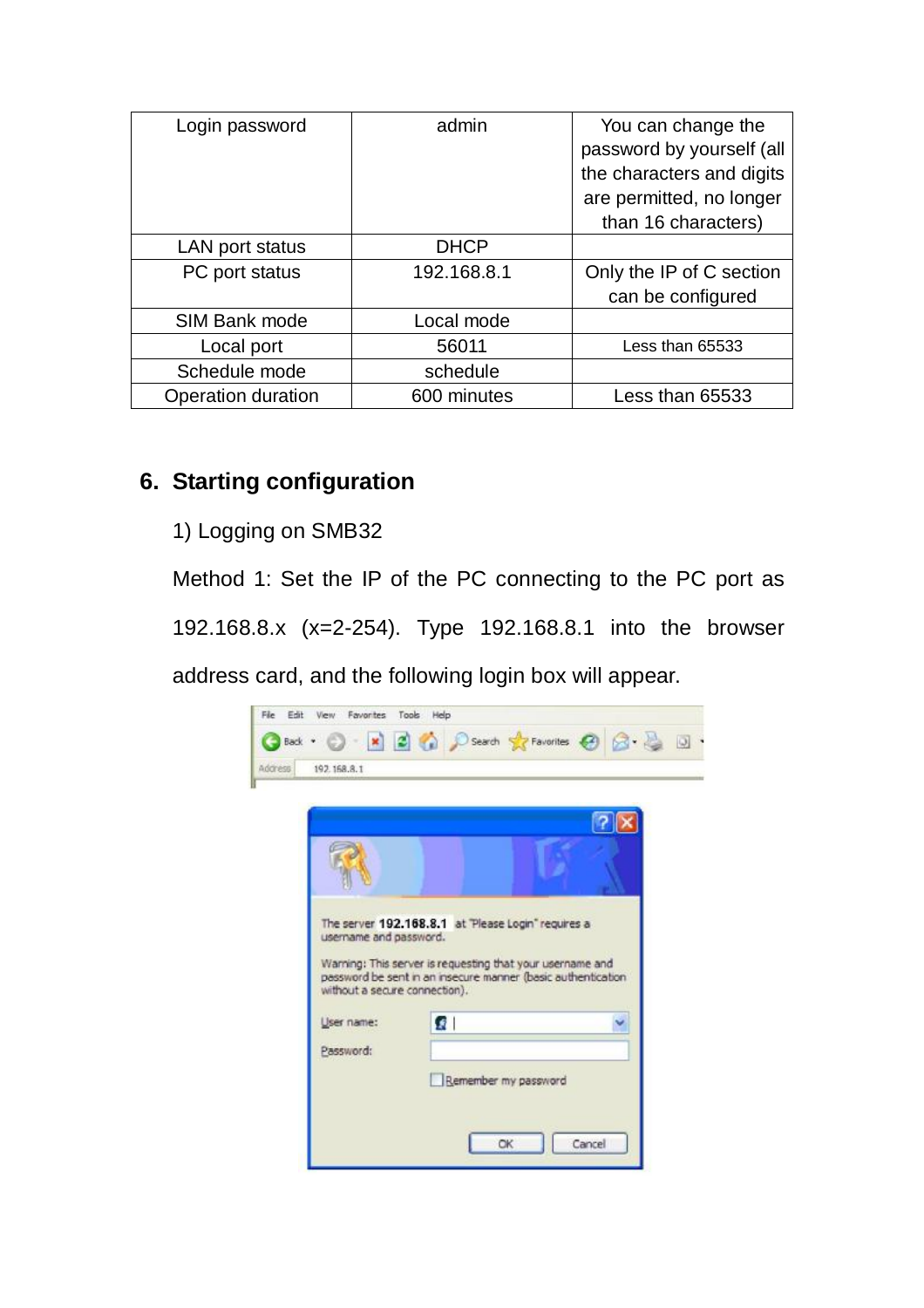| Login password     | admin       | You can change the<br>password by yourself (all |
|--------------------|-------------|-------------------------------------------------|
|                    |             | the characters and digits                       |
|                    |             | are permitted, no longer                        |
|                    |             | than 16 characters)                             |
| LAN port status    | <b>DHCP</b> |                                                 |
| PC port status     | 192.168.8.1 | Only the IP of C section                        |
|                    |             | can be configured                               |
| SIM Bank mode      | Local mode  |                                                 |
| Local port         | 56011       | Less than 65533                                 |
| Schedule mode      | schedule    |                                                 |
| Operation duration | 600 minutes | Less than 65533                                 |

### **6. Starting configuration**

1) Logging on SMB32

Method 1: Set the IP of the PC connecting to the PC port as 192.168.8.x (x=2-254). Type 192.168.8.1 into the browser

address card, and the following login box will appear.

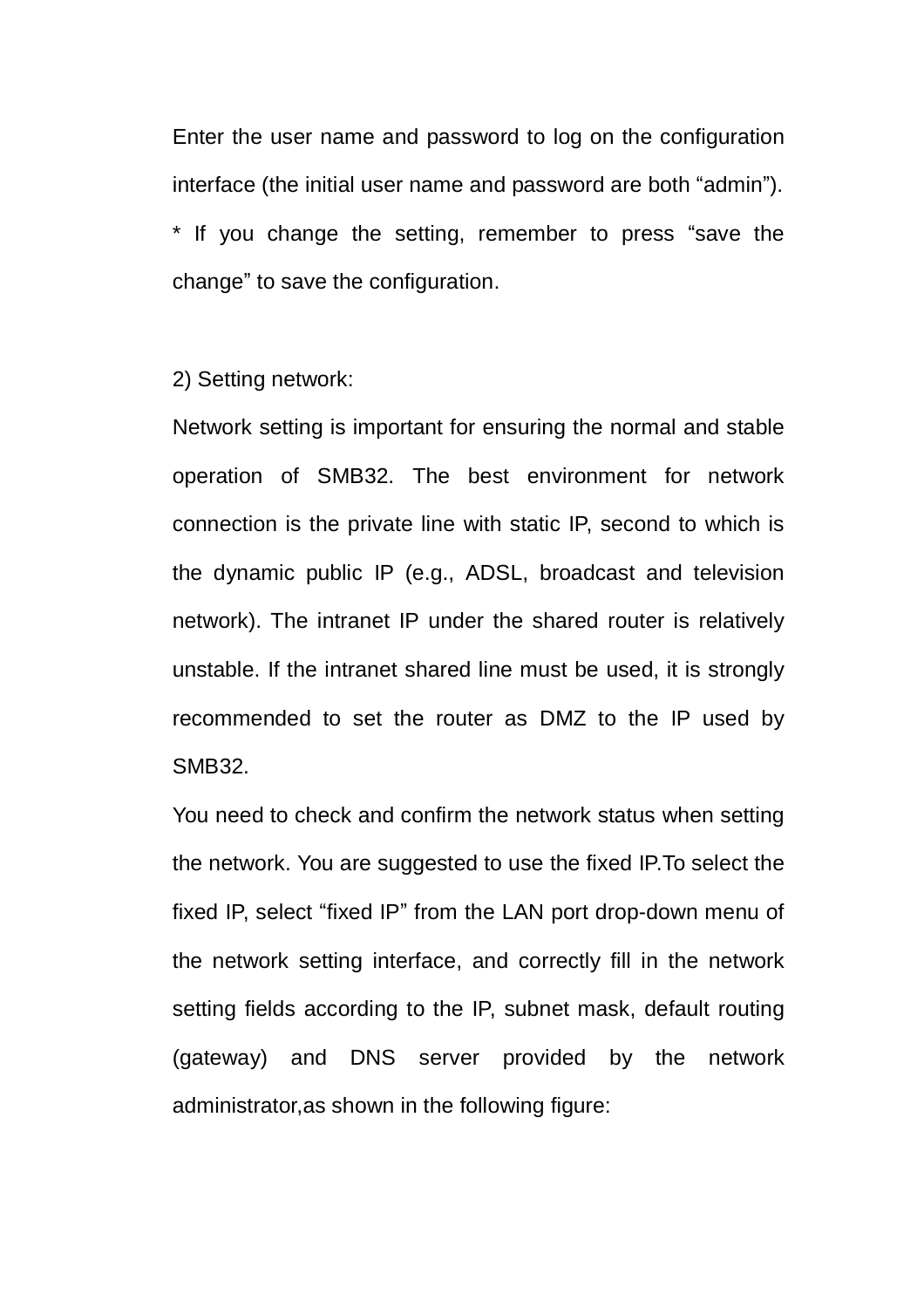Enter the user name and password to log on the configuration interface (the initial user name and password are both "admin"). \* If you change the setting, remember to press "save the change" to save the configuration.

2) Setting network:

Network setting is important for ensuring the normal and stable operation of SMB32. The best environment for network connection is the private line with static IP, second to which is the dynamic public IP (e.g., ADSL, broadcast and television network). The intranet IP under the shared router is relatively unstable. If the intranet shared line must be used, it is strongly recommended to set the router as DMZ to the IP used by SMB32.

You need to check and confirm the network status when setting the network. You are suggested to use the fixed IP.To select the fixed IP, select "fixed IP" from the LAN port drop-down menu of the network setting interface, and correctly fill in the network setting fields according to the IP, subnet mask, default routing (gateway) and DNS server provided by the network administrator,as shown in the following figure: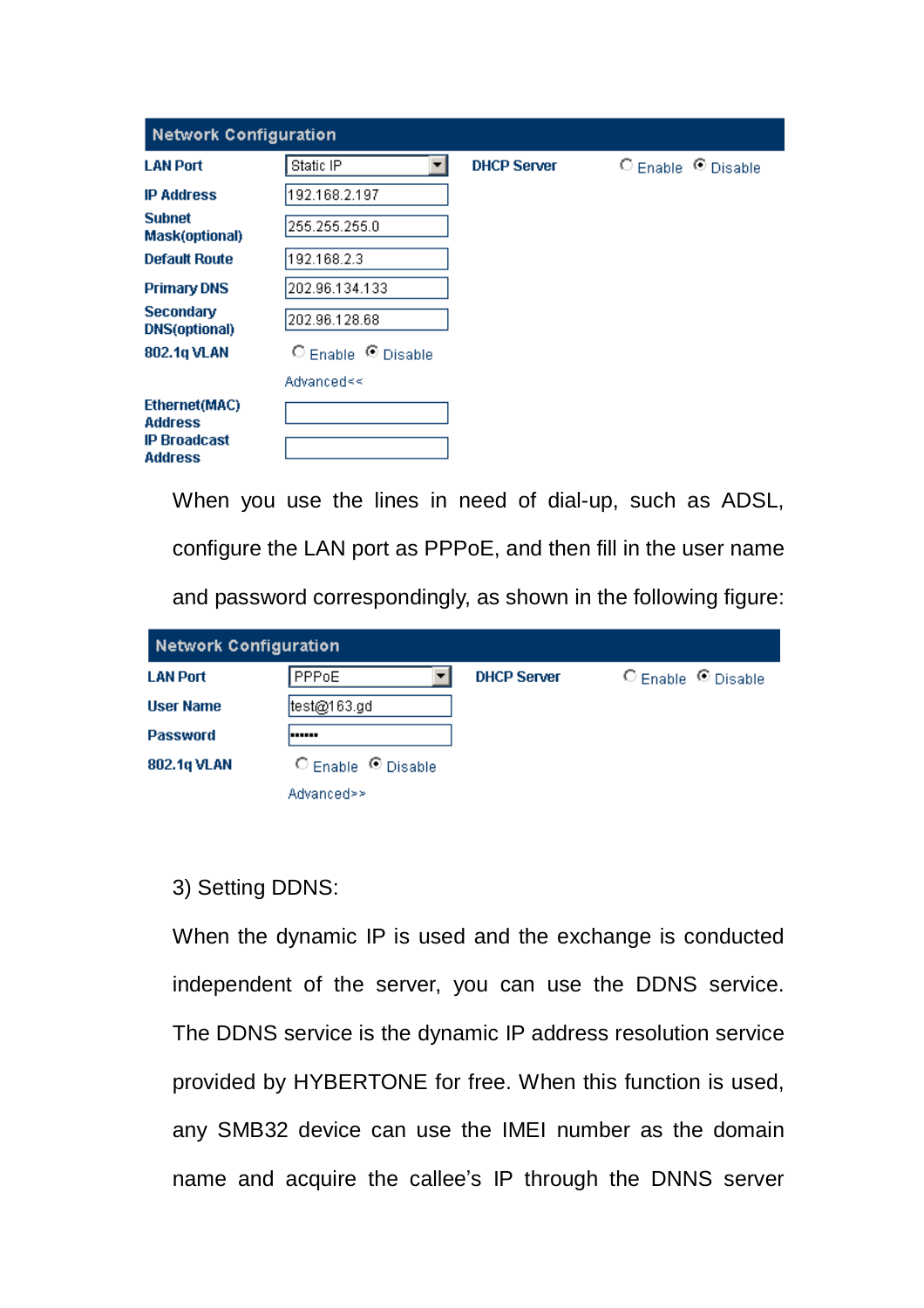| <b>Network Configuration</b>                           |                             |                    |                             |  |
|--------------------------------------------------------|-----------------------------|--------------------|-----------------------------|--|
| <b>LAN Port</b>                                        | Static IP<br>▼              | <b>DHCP Server</b> | $O$ Enable $\Omega$ Disable |  |
| <b>IP Address</b>                                      | 192.168.2.197               |                    |                             |  |
| <b>Subnet</b><br><b>Mask(optional)</b>                 | 255.255.255.0               |                    |                             |  |
| <b>Default Route</b>                                   | 192.168.2.3                 |                    |                             |  |
| <b>Primary DNS</b>                                     | 202.96.134.133              |                    |                             |  |
| <b>Secondary</b><br><b>DNS(optional)</b>               | 202.96.128.68               |                    |                             |  |
| 802.1q VLAN                                            | $O$ Enable $\Omega$ Disable |                    |                             |  |
|                                                        | Advanced≼<                  |                    |                             |  |
| Ethernet(MAC)<br><b>Address</b><br><b>IP Broadcast</b> |                             |                    |                             |  |
| <b>Address</b>                                         |                             |                    |                             |  |

When you use the lines in need of dial-up, such as ADSL, configure the LAN port as PPPoE, and then fill in the user name

and password correspondingly, as shown in the following figure:

| <b>Network Configuration</b> |                    |                    |                    |  |
|------------------------------|--------------------|--------------------|--------------------|--|
| <b>LAN Port</b>              | PPPoE              | <b>DHCP Server</b> | ○ Enable © Disable |  |
| <b>User Name</b>             | test@163.gd        |                    |                    |  |
| <b>Password</b>              | ------             |                    |                    |  |
| 802.1q VLAN                  | C Enable C Disable |                    |                    |  |
|                              | Advanced>>         |                    |                    |  |

#### 3) Setting DDNS:

When the dynamic IP is used and the exchange is conducted independent of the server, you can use the DDNS service. The DDNS service is the dynamic IP address resolution service provided by HYBERTONE for free. When this function is used, any SMB32 device can use the IMEI number as the domain name and acquire the callee's IP through the DNNS server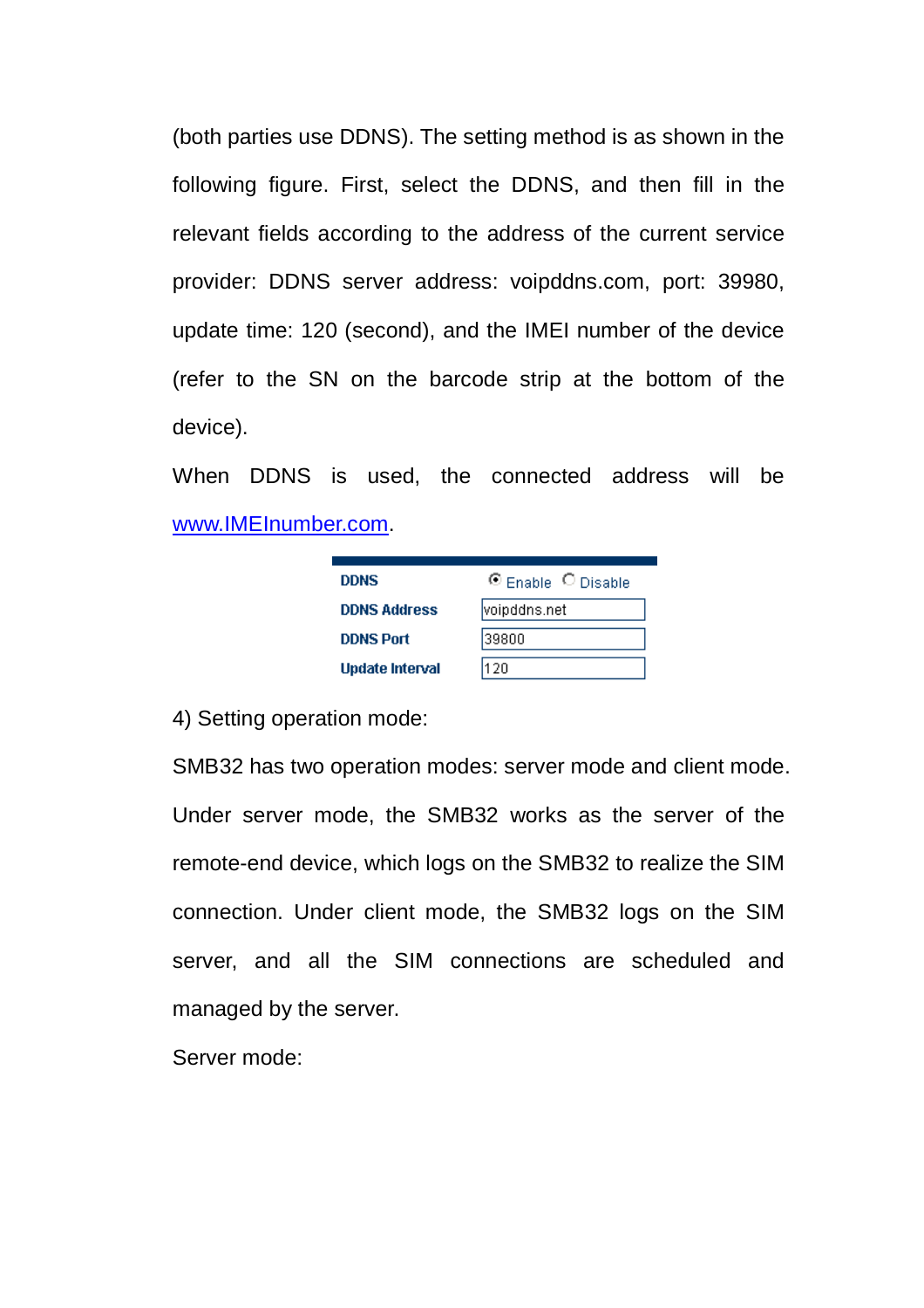(both parties use DDNS). The setting method is as shown in the following figure. First, select the DDNS, and then fill in the relevant fields according to the address of the current service provider: DDNS server address: voipddns.com, port: 39980, update time: 120 (second), and the IMEI number of the device (refer to the SN on the barcode strip at the bottom of the device).

When DDNS is used, the connected address will be [www.IMEInumber.com](http://www.IMEInumber.com).

| <b>DDNS</b>            | C Enable C Disable |
|------------------------|--------------------|
| <b>DDNS Address</b>    | voipddns.net       |
| <b>DDNS Port</b>       | 39800              |
| <b>Update Interval</b> | 120                |

4) Setting operation mode:

SMB32 has two operation modes: server mode and client mode. Under server mode, the SMB32 works as the server of the remote-end device, which logs on the SMB32 to realize the SIM connection. Under client mode, the SMB32 logs on the SIM server, and all the SIM connections are scheduled and managed by the server.

Server mode: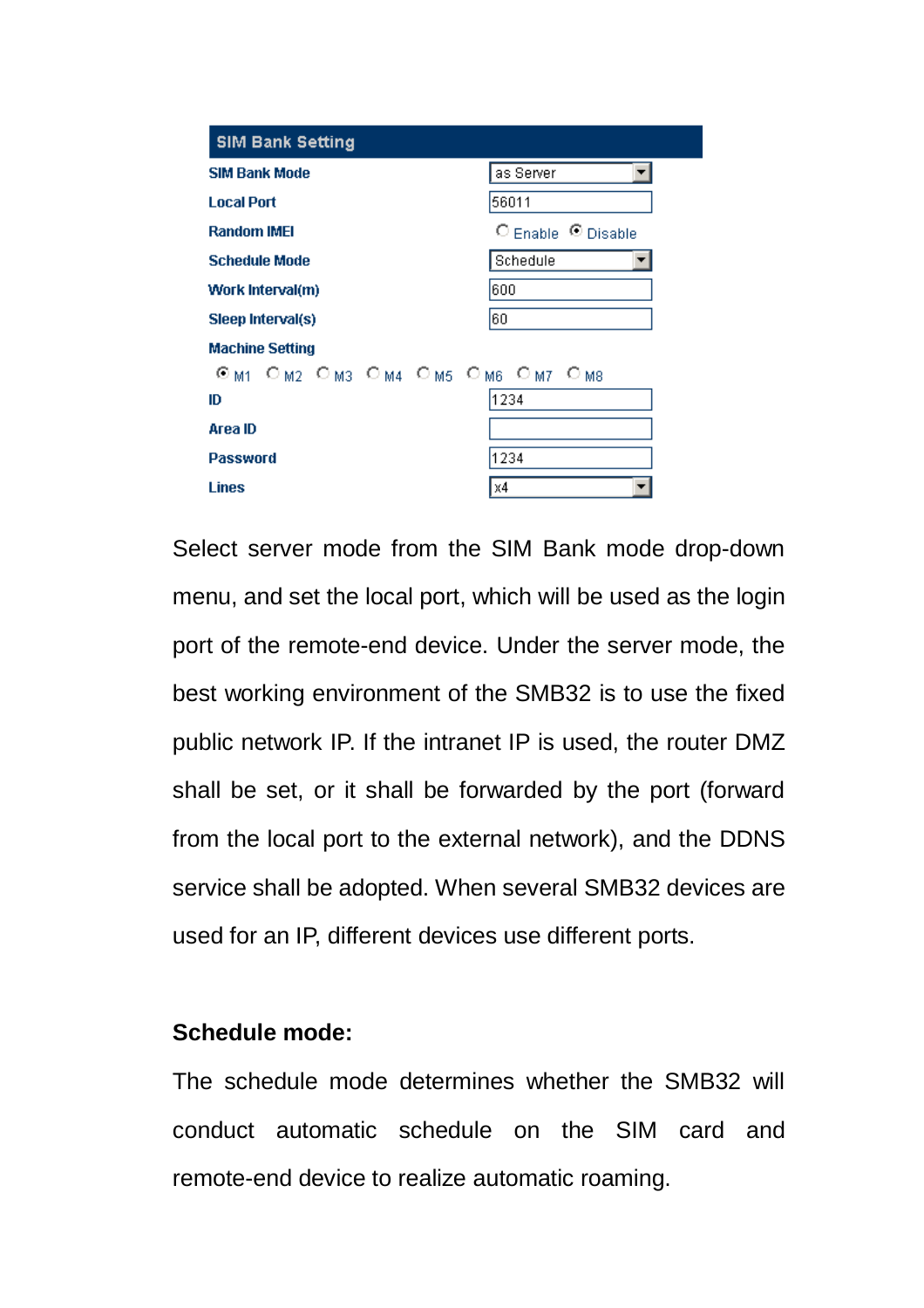| <b>SIM Bank Setting</b>         |                                |
|---------------------------------|--------------------------------|
| <b>SIM Bank Mode</b>            | as Server                      |
| <b>Local Port</b>               | 56011                          |
| <b>Random IMEI</b>              | $\circ$ Enable $\circ$ Disable |
| <b>Schedule Mode</b>            | Schedule                       |
| Work Interval(m)                | 600                            |
| Sleep Interval(s)               | 60                             |
| <b>Machine Setting</b>          |                                |
| Om1 Om2 Om3 Om4 Om5 Om6 Om7 Om8 |                                |
| ID                              | 1234                           |
| Area ID                         |                                |
| <b>Password</b>                 | 1234                           |
| Lines                           | X4                             |

Select server mode from the SIM Bank mode drop-down menu, and set the local port, which will be used as the login port of the remote-end device. Under the server mode, the best working environment of the SMB32 is to use the fixed public network IP. If the intranet IP is used, the router DMZ shall be set, or it shall be forwarded by the port (forward from the local port to the external network), and the DDNS service shall be adopted. When several SMB32 devices are used for an IP, different devices use different ports.

#### **Schedule mode:**

The schedule mode determines whether the SMB32 will conduct automatic schedule on the SIM card and remote-end device to realize automatic roaming.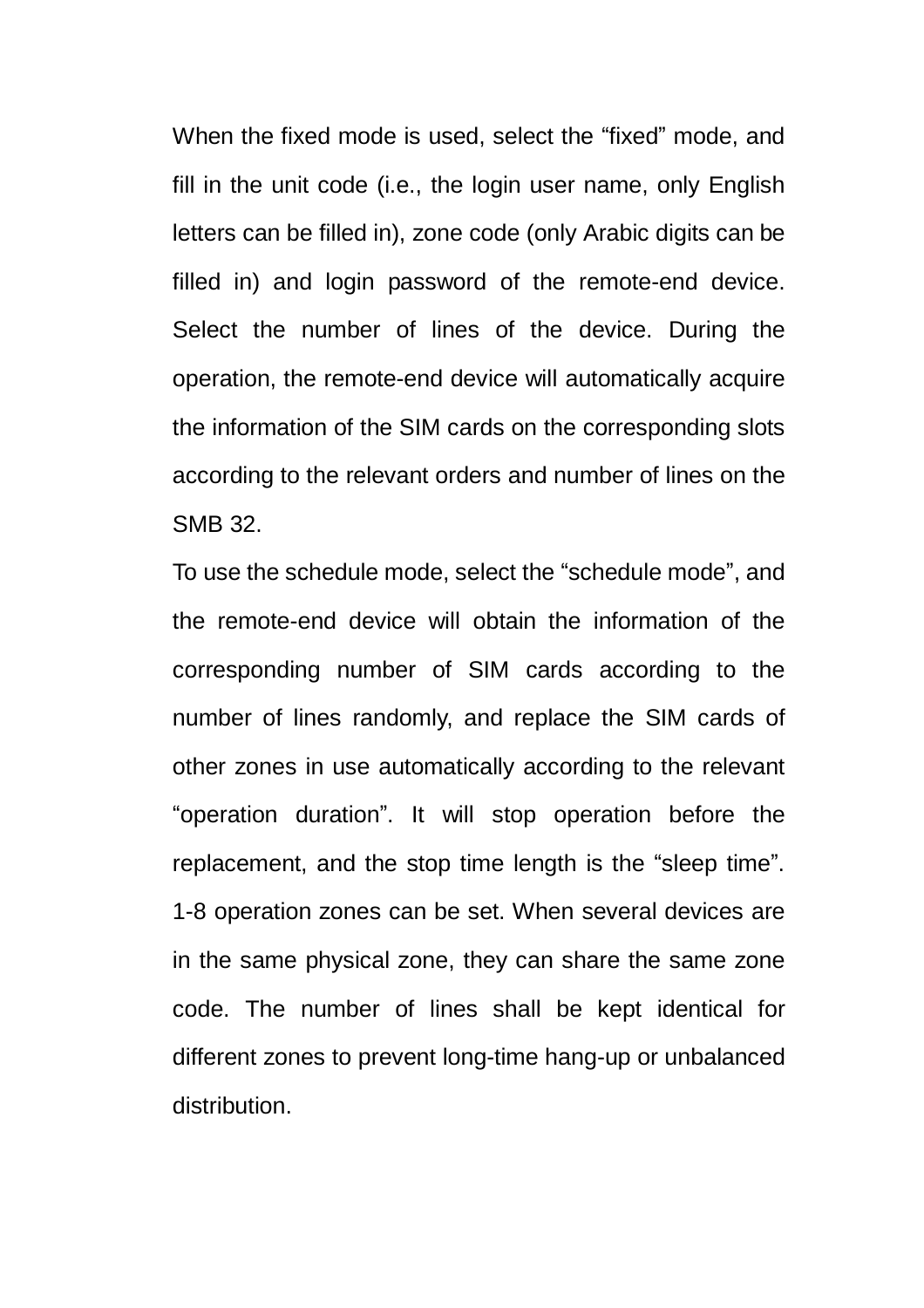When the fixed mode is used, select the "fixed" mode, and fill in the unit code (i.e., the login user name, only English letters can be filled in), zone code (only Arabic digits can be filled in) and login password of the remote-end device. Select the number of lines of the device. During the operation, the remote-end device will automatically acquire the information of the SIM cards on the corresponding slots according to the relevant orders and number of lines on the SMB 32.

To use the schedule mode, select the "schedule mode", and the remote-end device will obtain the information of the corresponding number of SIM cards according to the number of lines randomly, and replace the SIM cards of other zones in use automatically according to the relevant "operation duration". It will stop operation before the replacement, and the stop time length is the "sleep time". 1-8 operation zones can be set. When several devices are in the same physical zone, they can share the same zone code. The number of lines shall be kept identical for different zones to prevent long-time hang-up or unbalanced distribution.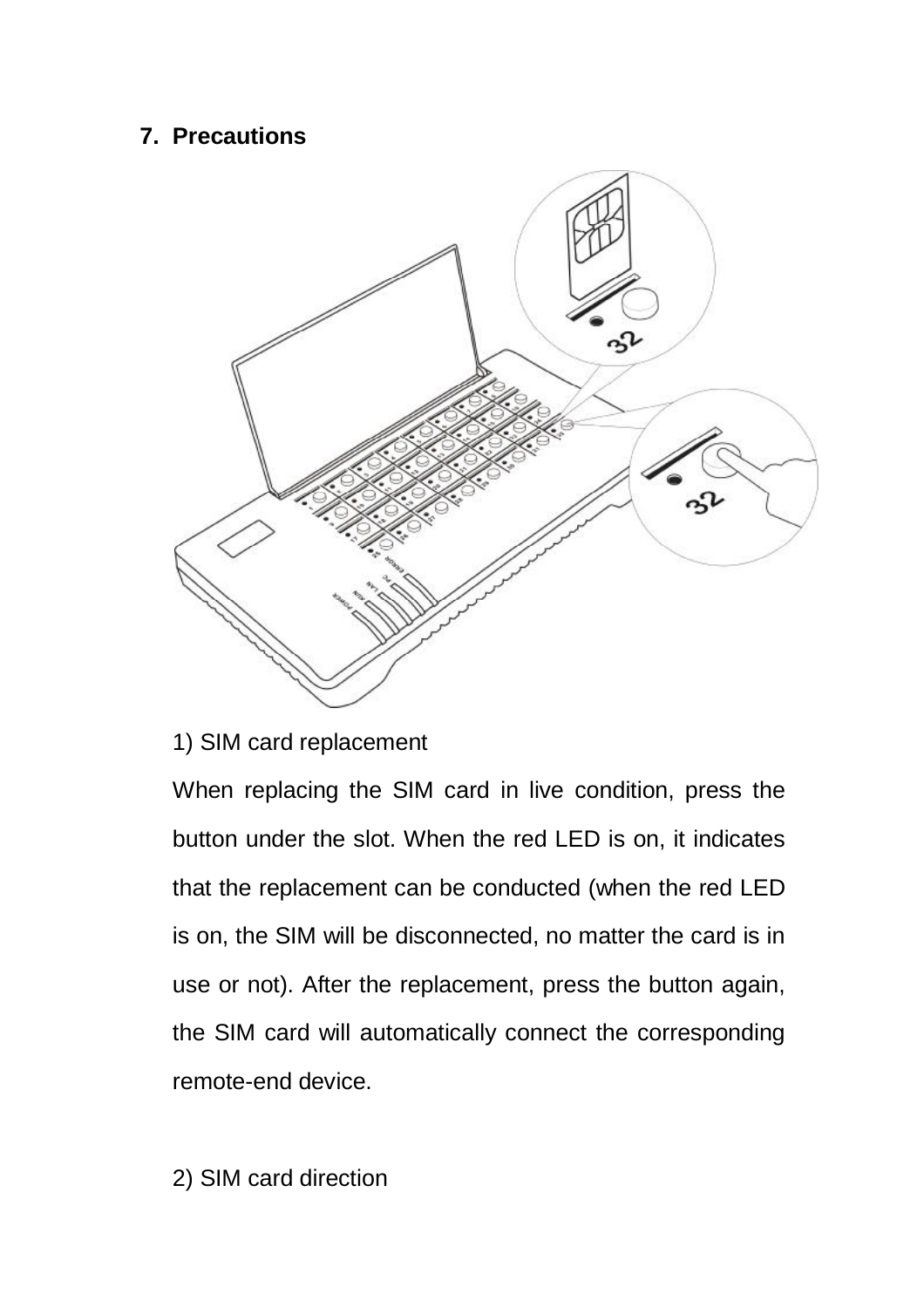## **7. Precautions**



#### 1) SIM card replacement

When replacing the SIM card in live condition, press the button under the slot. When the red LED is on, it indicates that the replacement can be conducted (when the red LED is on, the SIM will be disconnected, no matter the card is in use or not). After the replacement, press the button again, the SIM card will automatically connect the corresponding remote-end device.

2) SIM card direction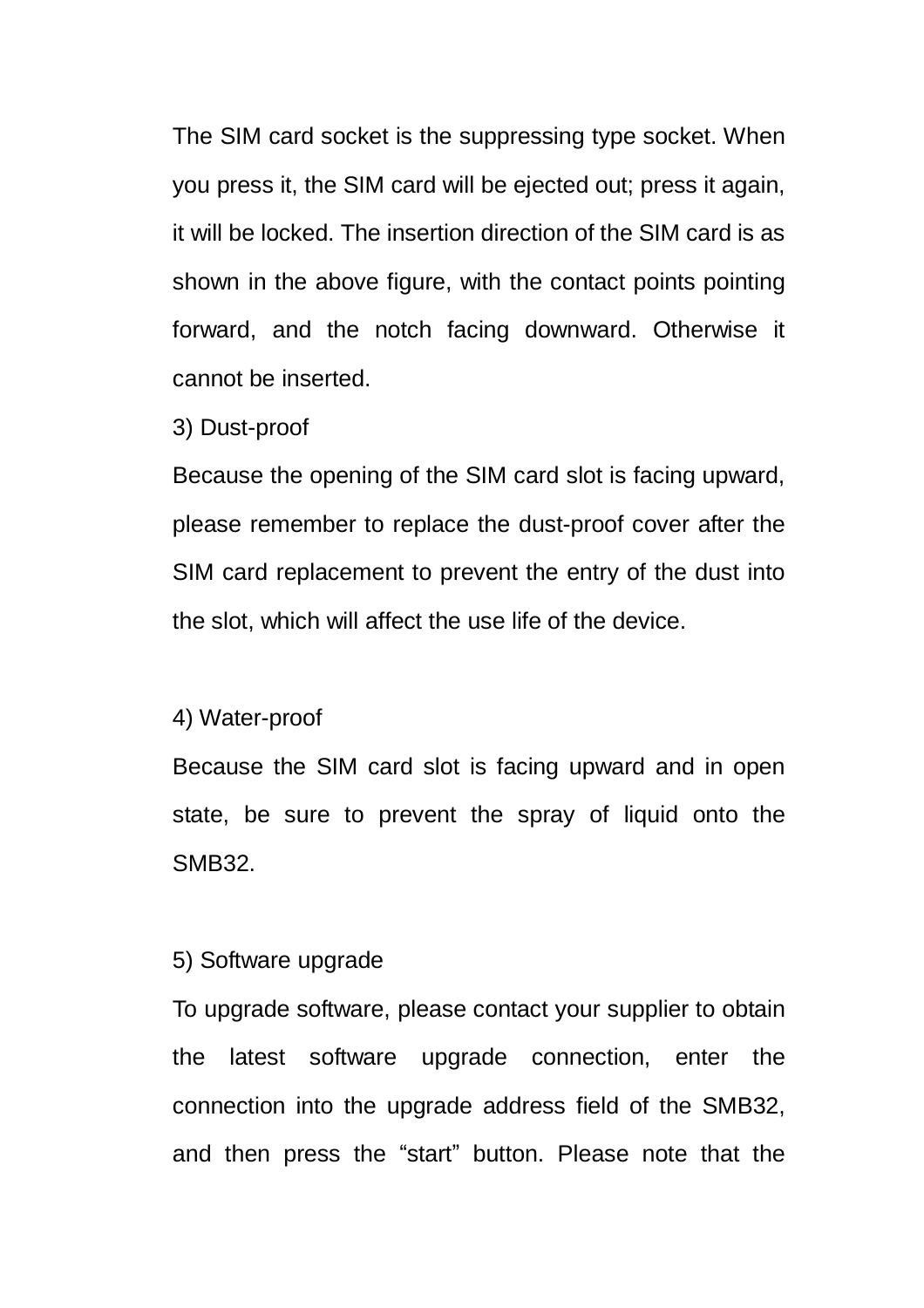The SIM card socket is the suppressing type socket. When you press it, the SIM card will be ejected out; press it again, it will be locked. The insertion direction of the SIM card is as shown in the above figure, with the contact points pointing forward, and the notch facing downward. Otherwise it cannot be inserted.

3) Dust-proof

Because the opening of the SIM card slot is facing upward, please remember to replace the dust-proof cover after the SIM card replacement to prevent the entry of the dust into the slot, which will affect the use life of the device.

#### 4) Water-proof

Because the SIM card slot is facing upward and in open state, be sure to prevent the spray of liquid onto the SMB32.

#### 5) Software upgrade

To upgrade software, please contact your supplier to obtain the latest software upgrade connection, enter the connection into the upgrade address field of the SMB32, and then press the "start" button. Please note that the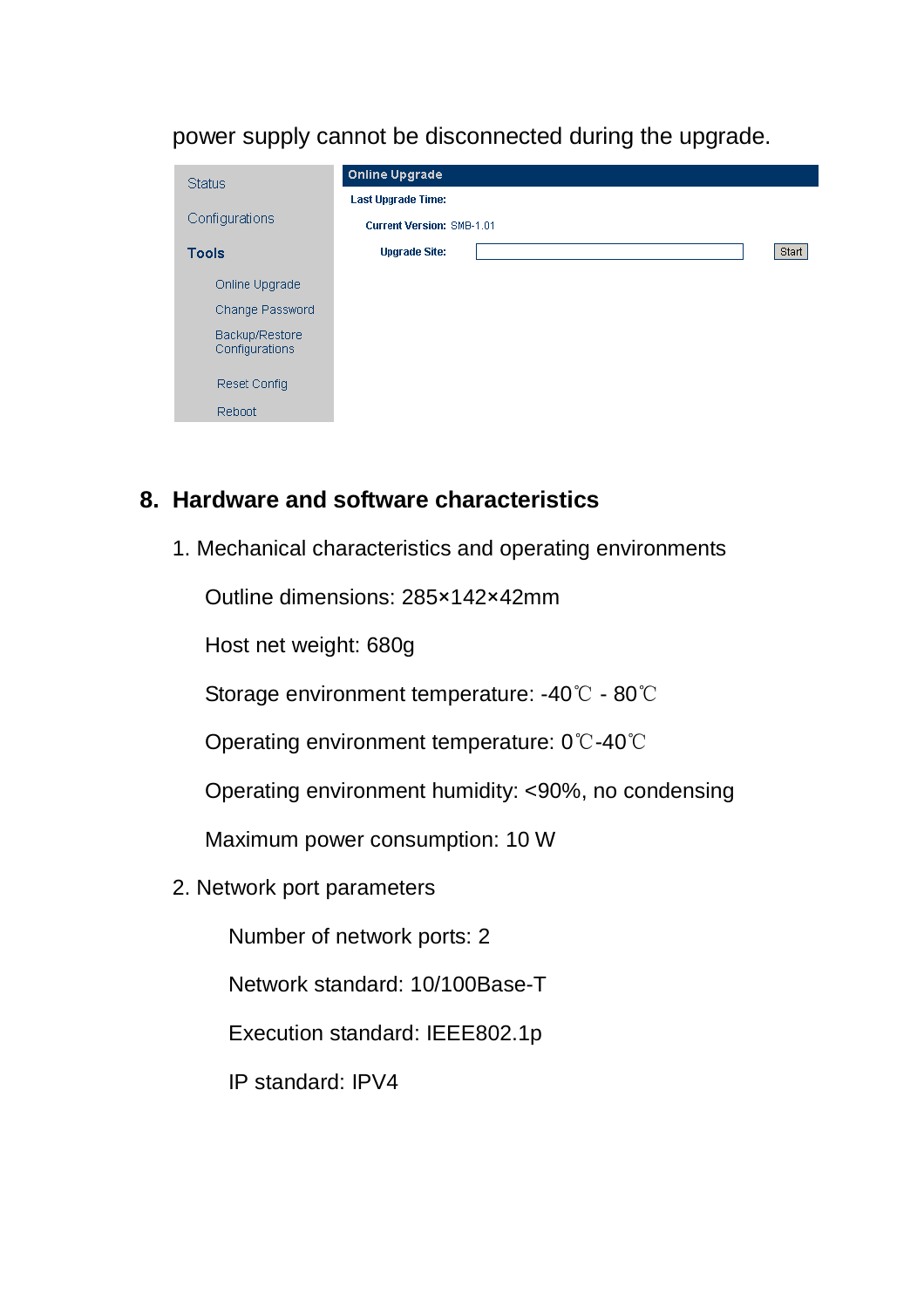power supply cannot be disconnected during the upgrade.

| <b>Status</b>                    |  | <b>Online Upgrade</b>            |  |       |
|----------------------------------|--|----------------------------------|--|-------|
|                                  |  | <b>Last Upgrade Time:</b>        |  |       |
| Configurations                   |  | <b>Current Version: SMB-1.01</b> |  |       |
| <b>Tools</b>                     |  | <b>Upgrade Site:</b>             |  | Start |
| Online Upgrade                   |  |                                  |  |       |
| Change Password                  |  |                                  |  |       |
| Backup/Restore<br>Configurations |  |                                  |  |       |
| Reset Config                     |  |                                  |  |       |
| <b>Reboot</b>                    |  |                                  |  |       |
|                                  |  |                                  |  |       |

#### **8. Hardware and software characteristics**

1. Mechanical characteristics and operating environments

Outline dimensions: 285×142×42mm

Host net weight: 680g

Storage environment temperature: -40 ℃ - 80℃

Operating environment temperature: 0℃-40℃

Operating environment humidity: <90%, no condensing

Maximum power consumption: 10 W

2. Network port parameters

Number of network ports: 2

Network standard: 10/100Base-T

Execution standard: IEEE802.1p

IP standard: IPV4